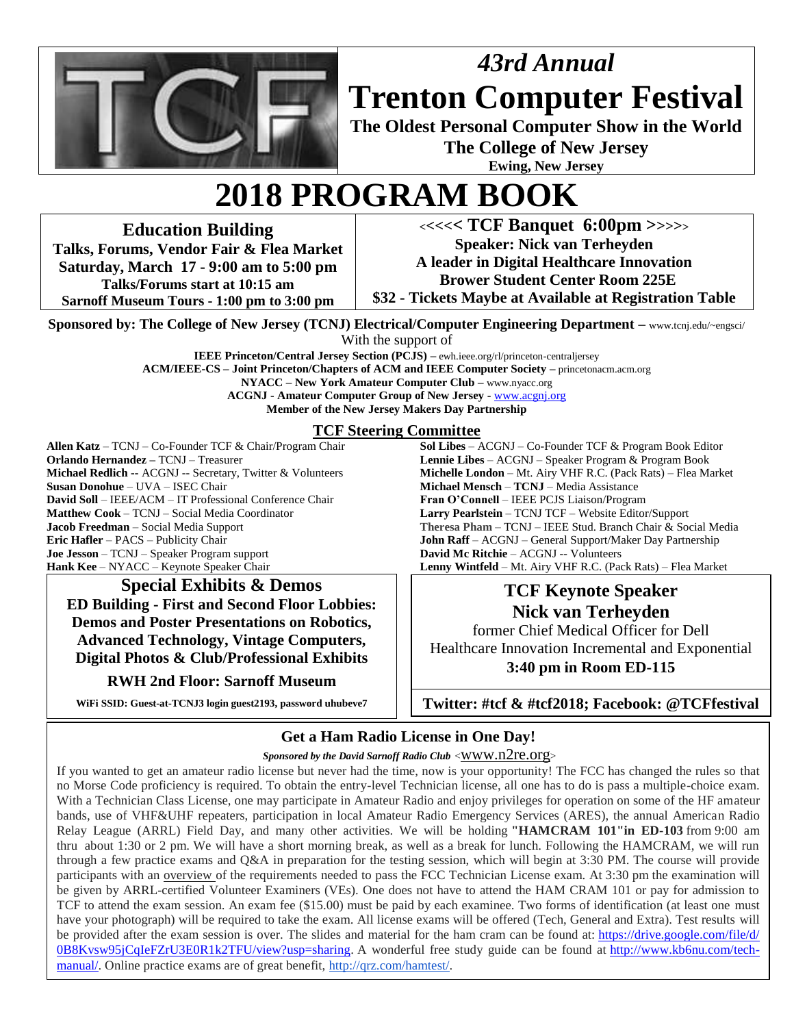

# *43rd Annual* **Trenton Computer Festival**

**The Oldest Personal Computer Show in the World The College of New Jersey**

**Ewing, New Jersey**

# **2018 PROGRAM BOOK**

**Education Building Talks, Forums, Vendor Fair & Flea Market Saturday, March 17 - 9:00 am to 5:00 pm Talks/Forums start at 10:15 am Sarnoff Museum Tours - 1:00 pm to 3:00 pm**

**<sup>&</sup>lt;<<<< TCF Banquet 6:00pm >>>><sup>&</sup>gt; Speaker: Nick van Terheyden A leader in Digital Healthcare Innovation Brower Student Center Room 225E**

**\$32 - Tickets Maybe at Available at Registration Table**

**Sponsored by: The College of New Jersey (TCNJ) Electrical/Computer Engineering Department –** www.tcnj.edu/~engsci/

With the support of

**IEEE Princeton/Central Jersey Section (PCJS) –** ewh.ieee.org/rl/princeton-centraljersey

**ACM/IEEE-CS – Joint Princeton/Chapters of ACM and IEEE Computer Society –** princetonacm.acm.org

**NYACC – New York Amateur Computer Club –** www.nyacc.org

**ACGNJ - Amateur Computer Group of New Jersey -** [www.acgnj.org](http://www.acgnj.org/) **Member of the New Jersey Makers Day Partnership**

# **TCF Steering Committee**

**Allen Katz** – TCNJ – Co-Founder TCF & Chair/Program Chair **Orlando Hernandez –** TCNJ – Treasurer **Michael Redlich --** ACGNJ -- Secretary, Twitter & Volunteers **Susan Donohue** – UVA – ISEC Chair **David Soll** – IEEE/ACM – IT Professional Conference Chair **Matthew Cook** – TCNJ – Social Media Coordinator **Jacob Freedman** – Social Media Support **Eric Hafler** – PACS – Publicity Chair **Joe Jesson** – TCNJ – Speaker Program support **Hank Kee** – NYACC – Keynote Speaker Chair

**Special Exhibits & Demos ED Building - First and Second Floor Lobbies: Demos and Poster Presentations on Robotics, Advanced Technology, Vintage Computers, Digital Photos & Club/Professional Exhibits**

**RWH 2nd Floor: Sarnoff Museum**

**WiFi SSID: Guest-at-TCNJ3 login guest2193, password uhubeve7**

**Sol Libes** – ACGNJ – Co-Founder TCF & Program Book Editor **Lennie Libes** – ACGNJ – Speaker Program & Program Book **Michelle London** – Mt. Airy VHF R.C. (Pack Rats) – Flea Market **Michael Mensch** – **TCNJ** – Media Assistance **Fran O'Connell** – IEEE PCJS Liaison/Program **Larry Pearlstein** – TCNJ TCF – Website Editor/Support **Theresa Pham** – TCNJ – IEEE Stud. Branch Chair & Social Media **John Raff** – ACGNJ – General Support/Maker Day Partnership **David Mc Ritchie** – ACGNJ -- Volunteers **Lenny Wintfeld** – Mt. Airy VHF R.C. (Pack Rats) – Flea Market

# **TCF Keynote Speaker Nick van Terheyden**

former Chief Medical Officer for Dell Healthcare Innovation Incremental and Exponential **3:40 pm in Room ED-115**

**Twitter: #tcf & #tcf2018; Facebook: @TCFfestival** <u>mental de la contrada de la con</u>

# **Get a Ham Radio License in One Day!**

# Sponsored by the David Sarnoff Radio Club <**WWW.n2re.org>**

If you wanted to get an amateur radio license but never had the time, now is your opportunity! The FCC has changed the rules so that no Morse Code proficiency is required. To obtain the entry-level Technician license, all one has to do is pass a multiple-choice exam. With a Technician Class License, one may participate in Amateur Radio and enjoy privileges for operation on some of the HF amateur bands, use of VHF&UHF repeaters, participation in local Amateur Radio Emergency Services (ARES), the annual American Radio Relay League (ARRL) Field Day, and many other activities. We will be holding **"HAMCRAM 101"in ED-103** from 9:00 am thru about 1:30 or 2 pm. We will have a short morning break, as well as a break for lunch. Following the HAMCRAM, we will run through a few practice exams and Q&A in preparation for the testing session, which will begin at 3:30 PM. The course will provide participants with an overview of the requirements needed to pass the FCC Technician License exam. At 3:30 pm the examination will be given by ARRL-certified Volunteer Examiners (VEs). One does not have to attend the HAM CRAM 101 or pay for admission to TCF to attend the exam session. An exam fee (\$15.00) must be paid by each examinee. Two forms of identification (at least one must have your photograph) will be required to take the exam. All license exams will be offered (Tech, General and Extra). Test results will be provided after the exam session is over. The slides and material for the ham cram can be found at: [https://drive.google.com/file/d/](https://drive.google.com/file/d/%200B8Kvsw95jCqIeFZrU3E0R1k2TFU/view?usp=sharing)  [0B8Kvsw95jCqIeFZrU3E0R1k2TFU/view?usp=sharing.](https://drive.google.com/file/d/%200B8Kvsw95jCqIeFZrU3E0R1k2TFU/view?usp=sharing) A wonderful free study guide can be found at [http://www.kb6nu.com/tech](http://www.kb6nu.com/tech-manual/)[manual/.](http://www.kb6nu.com/tech-manual/) Online practice exams are of great benefit, [http://qrz.com/hamtest/.](http://qrz.com/hamtest/)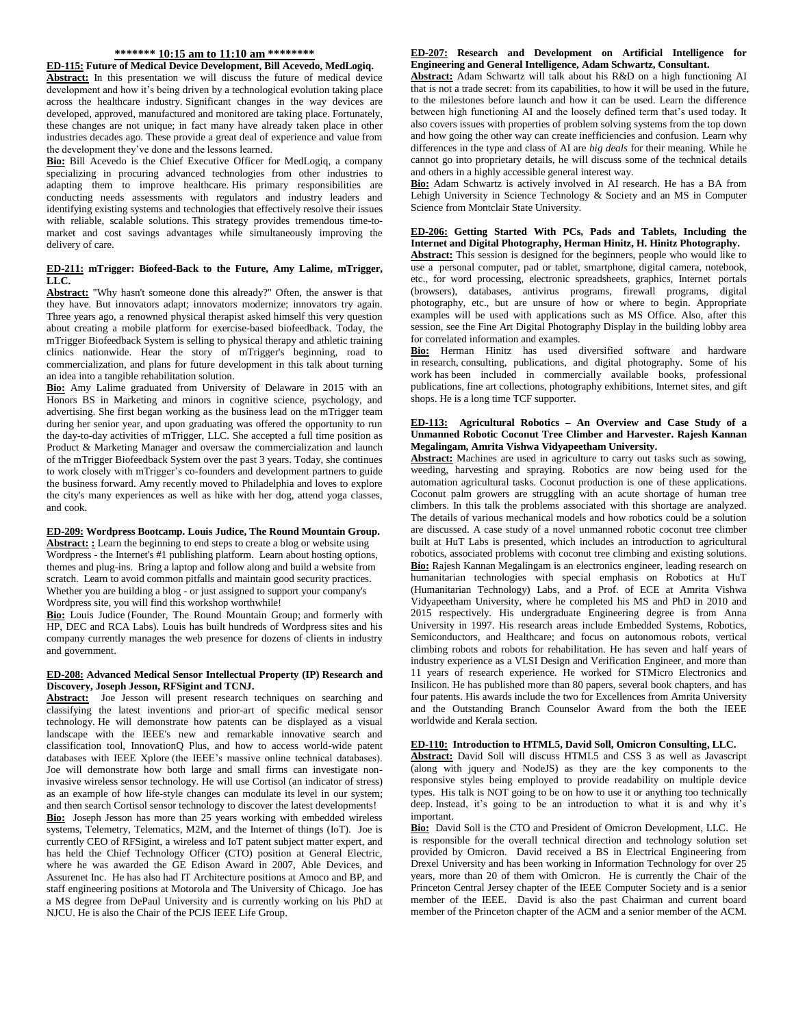# **\*\*\*\*\*\*\* 10:15 am to 11:10 am \*\*\*\*\*\*\*\***

**ED-115: Future of Medical Device Development, Bill Acevedo, MedLogiq.**

**Abstract:** In this presentation we will discuss the future of medical device development and how it's being driven by a technological evolution taking place across the healthcare industry. Significant changes in the way devices are developed, approved, manufactured and monitored are taking place. Fortunately, these changes are not unique; in fact many have already taken place in other industries decades ago. These provide a great deal of experience and value from the development they've done and the lessons learned.

**Bio:** Bill Acevedo is the Chief Executive Officer for MedLogiq, a company specializing in procuring advanced technologies from other industries to adapting them to improve healthcare. His primary responsibilities are conducting needs assessments with regulators and industry leaders and identifying existing systems and technologies that effectively resolve their issues with reliable, scalable solutions. This strategy provides tremendous time-tomarket and cost savings advantages while simultaneously improving the delivery of care.

#### **ED-211: mTrigger: Biofeed-Back to the Future, Amy Lalime, mTrigger, LLC.**

Abstract: "Why hasn't someone done this already?" Often, the answer is that they have. But innovators adapt; innovators modernize; innovators try again. Three years ago, a renowned physical therapist asked himself this very question about creating a mobile platform for exercise-based biofeedback. Today, the mTrigger Biofeedback System is selling to physical therapy and athletic training clinics nationwide. Hear the story of mTrigger's beginning, road to commercialization, and plans for future development in this talk about turning an idea into a tangible rehabilitation solution.

**Bio:** Amy Lalime graduated from University of Delaware in 2015 with an Honors BS in Marketing and minors in cognitive science, psychology, and advertising. She first began working as the business lead on the mTrigger team during her senior year, and upon graduating was offered the opportunity to run the day-to-day activities of mTrigger, LLC. She accepted a full time position as Product & Marketing Manager and oversaw the commercialization and launch of the mTrigger Biofeedback System over the past 3 years. Today, she continues to work closely with mTrigger's co-founders and development partners to guide the business forward. Amy recently moved to Philadelphia and loves to explore the city's many experiences as well as hike with her dog, attend yoga classes, and cook.

# **ED-209: Wordpress Bootcamp. Louis Judice, The Round Mountain Group.**

**Abstract: :** Learn the beginning to end steps to create a blog or website using Wordpress - the Internet's #1 publishing platform. Learn about hosting options, themes and plug-ins. Bring a laptop and follow along and build a website from scratch. Learn to avoid common pitfalls and maintain good security practices. Whether you are building a blog - or just assigned to support your company's Wordpress site, you will find this workshop worthwhile!

**Bio:** Louis Judice (Founder, The Round Mountain Group; and formerly with HP, DEC and RCA Labs). Louis has built hundreds of Wordpress sites and his company currently manages the web presence for dozens of clients in industry and government.

#### **ED-208: Advanced Medical Sensor Intellectual Property (IP) Research and Discovery, Joseph Jesson, RFSigint and TCNJ.**

Abstract: Joe Jesson will present research techniques on searching and classifying the latest inventions and prior-art of specific medical sensor technology. He will demonstrate how patents can be displayed as a visual landscape with the IEEE's new and remarkable innovative search and classification tool, InnovationQ Plus, and how to access world-wide patent databases with IEEE Xplore (the IEEE's massive online technical databases). Joe will demonstrate how both large and small firms can investigate noninvasive wireless sensor technology. He will use Cortisol (an indicator of stress) as an example of how life-style changes can modulate its level in our system; and then search Cortisol sensor technology to discover the latest developments! **Bio:** Joseph Jesson has more than 25 years working with embedded wireless systems, Telemetry, Telematics, M2M, and the Internet of things (IoT). Joe is currently CEO of RFSigint, a wireless and IoT patent subject matter expert, and has held the Chief Technology Officer (CTO) position at General Electric, where he was awarded the GE Edison Award in 2007, Able Devices, and Assurenet Inc. He has also had IT Architecture positions at Amoco and BP, and staff engineering positions at Motorola and The University of Chicago. Joe has a MS degree from DePaul University and is currently working on his PhD at NJCU. He is also the Chair of the PCJS IEEE Life Group.

## **ED-207: Research and Development on Artificial Intelligence for Engineering and General Intelligence, Adam Schwartz, Consultant.**

**Abstract:** Adam Schwartz will talk about his R&D on a high functioning AI that is not a trade secret: from its capabilities, to how it will be used in the future, to the milestones before launch and how it can be used. Learn the difference between high functioning AI and the loosely defined term that's used today. It also covers issues with properties of problem solving systems from the top down and how going the other way can create inefficiencies and confusion. Learn why differences in the type and class of AI are *big deals* for their meaning. While he cannot go into proprietary details, he will discuss some of the technical details and others in a highly accessible general interest way.

**Bio:** Adam Schwartz is actively involved in AI research. He has a BA from Lehigh University in Science Technology & Society and an MS in Computer Science from Montclair State University.

#### **ED-206: Getting Started With PCs, Pads and Tablets, Including the Internet and Digital Photography, Herman Hinitz, H. Hinitz Photography.**

Abstract: This session is designed for the beginners, people who would like to use a personal computer, pad or tablet, smartphone, digital camera, notebook, etc., for word processing, electronic spreadsheets, graphics, Internet portals (browsers), databases, antivirus programs, firewall programs, digital photography, etc., but are unsure of how or where to begin. Appropriate examples will be used with applications such as MS Office. Also, after this session, see the Fine Art Digital Photography Display in the building lobby area for correlated information and examples.

**Bio:** Herman Hinitz has used diversified software and hardware in research, consulting, publications, and digital photography. Some of his work has been included in commercially available books, professional publications, fine art collections, photography exhibitions, Internet sites, and gift shops. He is a long time TCF supporter.

#### **ED-113: Agricultural Robotics – An Overview and Case Study of a Unmanned Robotic Coconut Tree Climber and Harvester. Rajesh Kannan Megalingam, Amrita Vishwa Vidyapeetham University.**

Abstract: Machines are used in agriculture to carry out tasks such as sowing, weeding, harvesting and spraying. Robotics are now being used for the automation agricultural tasks. Coconut production is one of these applications. Coconut palm growers are struggling with an acute shortage of human tree climbers. In this talk the problems associated with this shortage are analyzed. The details of various mechanical models and how robotics could be a solution are discussed. A case study of a novel unmanned robotic coconut tree climber built at HuT Labs is presented, which includes an introduction to agricultural robotics, associated problems with coconut tree climbing and existing solutions. **Bio:** Rajesh Kannan Megalingam is an electronics engineer, leading research on humanitarian technologies with special emphasis on Robotics at HuT (Humanitarian Technology) Labs, and a Prof. of ECE at Amrita Vishwa Vidyapeetham University, where he completed his MS and PhD in 2010 and 2015 respectively. His undergraduate Engineering degree is from Anna University in 1997. His research areas include Embedded Systems, Robotics, Semiconductors, and Healthcare; and focus on autonomous robots, vertical climbing robots and robots for rehabilitation. He has seven and half years of industry experience as a VLSI Design and Verification Engineer, and more than 11 years of research experience. He worked for STMicro Electronics and Insilicon. He has published more than 80 papers, several book chapters, and has four patents. His awards include the two for Excellences from Amrita University and the Outstanding Branch Counselor Award from the both the IEEE worldwide and Kerala section.

# **ED-110: Introduction to HTML5, David Soll, Omicron Consulting, LLC.**

**Abstract:** David Soll will discuss HTML5 and CSS 3 as well as Javascript (along with jquery and NodeJS) as they are the key components to the responsive styles being employed to provide readability on multiple device types. His talk is NOT going to be on how to use it or anything too technically deep. Instead, it's going to be an introduction to what it is and why it's important.

**Bio:** David Soll is the CTO and President of Omicron Development, LLC. He is responsible for the overall technical direction and technology solution set provided by Omicron. David received a BS in Electrical Engineering from Drexel University and has been working in Information Technology for over 25 years, more than 20 of them with Omicron. He is currently the Chair of the Princeton Central Jersey chapter of the IEEE Computer Society and is a senior member of the IEEE. David is also the past Chairman and current board member of the Princeton chapter of the ACM and a senior member of the ACM.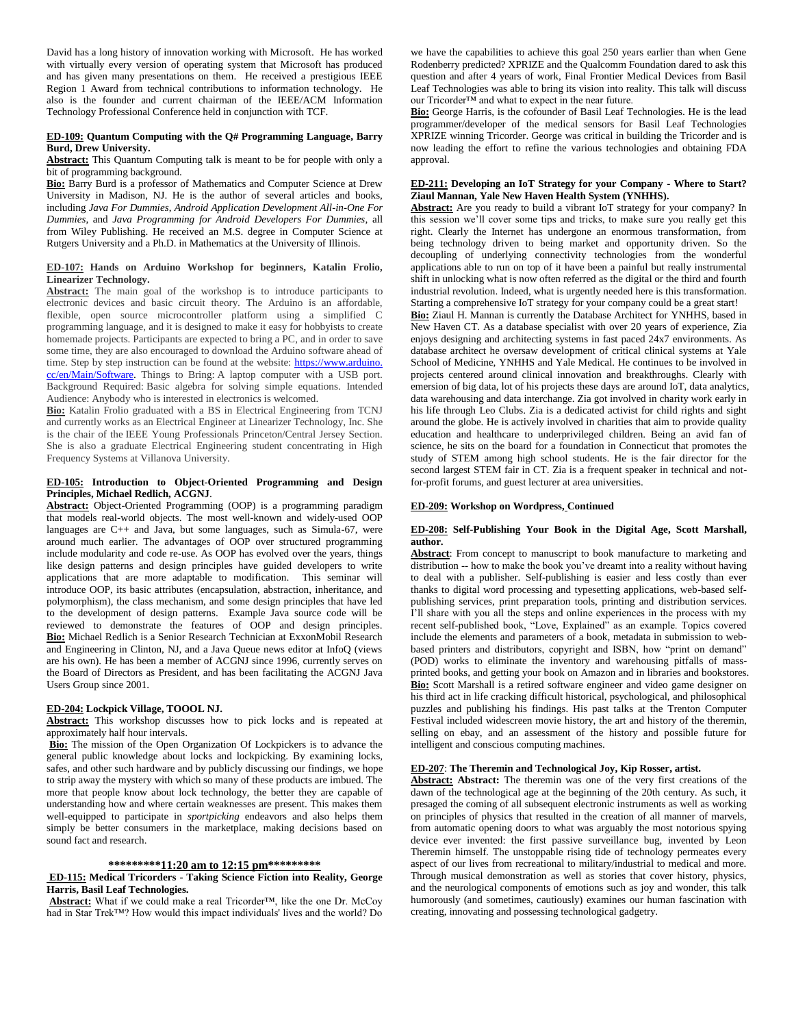David has a long history of innovation working with Microsoft. He has worked with virtually every version of operating system that Microsoft has produced and has given many presentations on them. He received a prestigious IEEE Region 1 Award from technical contributions to information technology. He also is the founder and current chairman of the IEEE/ACM Information Technology Professional Conference held in conjunction with TCF.

# **ED-109: Quantum Computing with the Q# Programming Language, Barry**

**Abstract:** This Quantum Computing talk is meant to be for people with only a bit of programming background.

**Bio:** Barry Burd is a professor of Mathematics and Computer Science at Drew University in Madison, NJ. He is the author of several articles and books, including *Java For Dummies*, *Android Application Development All-in-One For Dummies*, and *Java Programming for Android Developers For Dummies*, all from Wiley Publishing. He received an M.S. degree in Computer Science at Rutgers University and a Ph.D. in Mathematics at the University of Illinois.

#### **ED-107: Hands on Arduino Workshop for beginners, Katalin Frolio, Linearizer Technology.**

Abstract: The main goal of the workshop is to introduce participants to electronic devices and basic circuit theory. The Arduino is an affordable, flexible, open source microcontroller platform using a simplified C programming language, and it is designed to make it easy for hobbyists to create homemade projects. Participants are expected to bring a PC, and in order to save some time, they are also encouraged to download the Arduino software ahead of time. Step by step instruction can be found at the website: https://www.arduino. cc/en/Main/Software. Things to Bring: A laptop computer with a USB port. Background Required: Basic algebra for solving simple equations. Intended Audience: Anybody who is interested in electronics is welcomed.

**Bio:** Katalin Frolio graduated with a BS in Electrical Engineering from TCNJ and currently works as an Electrical Engineer at Linearizer Technology, Inc. She is the chair of the IEEE Young Professionals Princeton/Central Jersey Section. She is also a graduate Electrical Engineering student concentrating in High Frequency Systems at Villanova University.

# **ED-105: Introduction to Object-Oriented Programming and Design Principles, Michael Redlich, ACGNJ**.

**Abstract:** Object-Oriented Programming (OOP) is a programming paradigm that models real-world objects. The most well-known and widely-used OOP languages are C++ and Java, but some languages, such as Simula-67, were around much earlier. The advantages of OOP over structured programming include modularity and code re-use. As OOP has evolved over the years, things like design patterns and design principles have guided developers to write applications that are more adaptable to modification. This seminar will introduce OOP, its basic attributes (encapsulation, abstraction, inheritance, and polymorphism), the class mechanism, and some design principles that have led to the development of design patterns. Example Java source code will be reviewed to demonstrate the features of OOP and design principles. **Bio:** Michael Redlich is a Senior Research Technician at ExxonMobil Research and Engineering in Clinton, NJ, and a Java Queue news editor at InfoQ (views are his own). He has been a member of ACGNJ since 1996, currently serves on the Board of Directors as President, and has been facilitating the ACGNJ Java Users Group since 2001.

#### **ED-204: Lockpick Village, TOOOL NJ.**

**Abstract:** This workshop discusses how to pick locks and is repeated at approximately half hour intervals.

**Bio:** The mission of the Open Organization Of Lockpickers is to advance the general public knowledge about locks and lockpicking. By examining locks, safes, and other such hardware and by publicly discussing our findings, we hope to strip away the mystery with which so many of these products are imbued. The more that people know about lock technology, the better they are capable of understanding how and where certain weaknesses are present. This makes them well-equipped to participate in *sportpicking* endeavors and also helps them simply be better consumers in the marketplace, making decisions based on sound fact and research.

# **\*\*\*\*\*\*\*\*\*11:20 am to 12:15 pm\*\*\*\*\*\*\*\*\***

#### **ED-115: Medical Tricorders - Taking Science Fiction into Reality, George Harris, Basil Leaf Technologies.**

**Abstract:** What if we could make a real Tricorder™, like the one Dr. McCoy had in Star Trek™? How would this impact individuals' lives and the world? Do

we have the capabilities to achieve this goal 250 years earlier than when Gene Rodenberry predicted? XPRIZE and the Qualcomm Foundation dared to ask this question and after 4 years of work, Final Frontier Medical Devices from Basil Leaf Technologies was able to bring its vision into reality. This talk will discuss our Tricorder™ and what to expect in the near future.

**Burd, Drew University.** The same of the stations for Android Phones and Tablets and Tablets and Obtaining FDA **Bio:** George Harris, is the cofounder of Basil Leaf Technologies. He is the lead programmer/developer of the medical sensors for Basil Leaf Technologies XPRIZE winning Tricorder. George was critical in building the Tricorder and is approval.

#### **ED-211: Developing an IoT Strategy for your Company - Where to Start? Ziaul Mannan, Yale New Haven Health System (YNHHS).**

**Abstract:** Are you ready to build a vibrant IoT strategy for your company? In this session we'll cover some tips and tricks, to make sure you really get this right. Clearly the Internet has undergone an enormous transformation, from being technology driven to being market and opportunity driven. So the decoupling of underlying connectivity technologies from the wonderful applications able to run on top of it have been a painful but really instrumental shift in unlocking what is now often referred as the digital or the third and fourth industrial revolution. Indeed, what is urgently needed here is this transformation. Starting a comprehensive IoT strategy for your company could be a great start!

**Bio:** Ziaul H. Mannan is currently the Database Architect for YNHHS, based in New Haven CT. As a database specialist with over 20 years of experience, Zia enjoys designing and architecting systems in fast paced 24x7 environments. As database architect he oversaw development of critical clinical systems at Yale School of Medicine, YNHHS and Yale Medical. He continues to be involved in projects centered around clinical innovation and breakthroughs. Clearly with emersion of big data, lot of his projects these days are around IoT, data analytics, data warehousing and data interchange. Zia got involved in charity work early in his life through Leo Clubs. Zia is a dedicated activist for child rights and sight around the globe. He is actively involved in charities that aim to provide quality education and healthcare to underprivileged children. Being an avid fan of science, he sits on the board for a foundation in Connecticut that promotes the study of STEM among high school students. He is the fair director for the second largest STEM fair in CT. Zia is a frequent speaker in technical and notfor-profit forums, and guest lecturer at area universities.

#### **ED-209: Workshop on Wordpress, Continued**

#### **ED-208: Self-Publishing Your Book in the Digital Age, Scott Marshall, author.**

Abstract: From concept to manuscript to book manufacture to marketing and distribution -- how to make the book you've dreamt into a reality without having to deal with a publisher. Self-publishing is easier and less costly than ever thanks to digital word processing and typesetting applications, web-based selfpublishing services, print preparation tools, printing and distribution services. I'll share with you all the steps and online experiences in the process with my recent self-published book, "Love, Explained" as an example. Topics covered include the elements and parameters of a book, metadata in submission to webbased printers and distributors, copyright and ISBN, how "print on demand" (POD) works to eliminate the inventory and warehousing pitfalls of massprinted books, and getting your book on Amazon and in libraries and bookstores. **Bio:** Scott Marshall is a retired software engineer and video game designer on his third act in life cracking difficult historical, psychological, and philosophical puzzles and publishing his findings. His past talks at the Trenton Computer Festival included widescreen movie history, the art and history of the theremin, selling on ebay, and an assessment of the history and possible future for intelligent and conscious computing machines.

# **ED-207**: **The Theremin and Technological Joy, Kip Rosser, artist.**

**Abstract: Abstract:** The theremin was one of the very first creations of the dawn of the technological age at the beginning of the 20th century. As such, it presaged the coming of all subsequent electronic instruments as well as working on principles of physics that resulted in the creation of all manner of marvels, from automatic opening doors to what was arguably the most notorious spying device ever invented: the first passive surveillance bug, invented by Leon Theremin himself. The unstoppable rising tide of technology permeates every aspect of our lives from recreational to military/industrial to medical and more. Through musical demonstration as well as stories that cover history, physics, and the neurological components of emotions such as joy and wonder, this talk humorously (and sometimes, cautiously) examines our human fascination with creating, innovating and possessing technological gadgetry.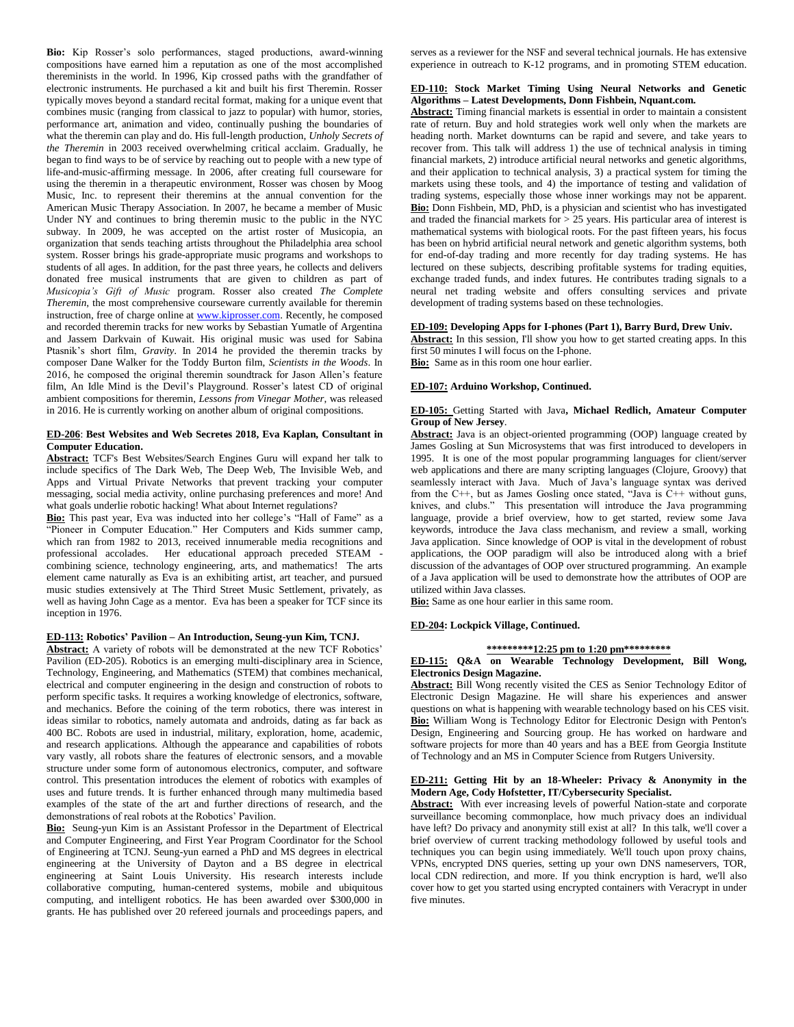**Bio:** Kip Rosser's solo performances, staged productions, award-winning compositions have earned him a reputation as one of the most accomplished thereminists in the world. In 1996, Kip crossed paths with the grandfather of electronic instruments. He purchased a kit and built his first Theremin. Rosser typically moves beyond a standard recital format, making for a unique event that combines music (ranging from classical to jazz to popular) with humor, stories, performance art, animation and video, continually pushing the boundaries of what the theremin can play and do. His full-length production, *Unholy Secrets of the Theremin* in 2003 received overwhelming critical acclaim. Gradually, he began to find ways to be of service by reaching out to people with a new type of life-and-music-affirming message. In 2006, after creating full courseware for using the theremin in a therapeutic environment, Rosser was chosen by Moog Music, Inc. to represent their theremins at the annual convention for the American Music Therapy Association. In 2007, he became a member of Music Under NY and continues to bring theremin music to the public in the NYC subway. In 2009, he was accepted on the artist roster of Musicopia, an organization that sends teaching artists throughout the Philadelphia area school system. Rosser brings his grade-appropriate music programs and workshops to students of all ages. In addition, for the past three years, he collects and delivers donated free musical instruments that are given to children as part of *Musicopia's Gift of Music* program. Rosser also created *The Complete Theremin*, the most comprehensive courseware currently available for theremin instruction, free of charge online a[t www.kiprosser.com.](http://www.kiprosser.com/) Recently, he composed and recorded theremin tracks for new works by Sebastian Yumatle of Argentina and Jassem Darkvain of Kuwait. His original music was used for Sabina Ptasnik's short film, *Gravity*. In 2014 he provided the theremin tracks by composer Dane Walker for the Toddy Burton film, *Scientists in the Woods*. In 2016, he composed the original theremin soundtrack for Jason Allen's feature film, An Idle Mind is the Devil's Playground. Rosser's latest CD of original ambient compositions for theremin, *Lessons from Vinegar Mother*, was released in 2016. He is currently working on another album of original compositions.

#### **ED-206**: **Best Websites and Web Secretes 2018, Eva Kaplan, Consultant in Computer Education.**

**Abstract:** TCF's Best Websites/Search Engines Guru will expand her talk to include specifics of The Dark Web, The Deep Web, The Invisible Web, and Apps and Virtual Private Networks that prevent tracking your computer messaging, social media activity, online purchasing preferences and more! And what goals underlie robotic hacking! What about Internet regulations?

**Bio:** This past year, Eva was inducted into her college's "Hall of Fame" as a "Pioneer in Computer Education." Her Computers and Kids summer camp, which ran from 1982 to 2013, received innumerable media recognitions and professional accolades. Her educational approach preceded STEAM combining science, technology engineering, arts, and mathematics! The arts element came naturally as Eva is an exhibiting artist, art teacher, and pursued music studies extensively at The Third Street Music Settlement, privately, as well as having John Cage as a mentor. Eva has been a speaker for TCF since its inception in 1976.

#### **ED-113: Robotics' Pavilion – An Introduction, Seung-yun Kim, TCNJ.**

**Abstract:** A variety of robots will be demonstrated at the new TCF Robotics' Pavilion (ED-205). Robotics is an emerging multi-disciplinary area in Science, Technology, Engineering, and Mathematics (STEM) that combines mechanical, electrical and computer engineering in the design and construction of robots to perform specific tasks. It requires a working knowledge of electronics, software, and mechanics. Before the coining of the term robotics, there was interest in ideas similar to robotics, namely automata and androids, dating as far back as 400 BC. Robots are used in industrial, military, exploration, home, academic, and research applications. Although the appearance and capabilities of robots vary vastly, all robots share the features of electronic sensors, and a movable structure under some form of autonomous electronics, computer, and software control. This presentation introduces the element of robotics with examples of uses and future trends. It is further enhanced through many multimedia based examples of the state of the art and further directions of research, and the demonstrations of real robots at the Robotics' Pavilion.

**Bio:** Seung-yun Kim is an Assistant Professor in the Department of Electrical and Computer Engineering, and First Year Program Coordinator for the School of Engineering at TCNJ. Seung-yun earned a PhD and MS degrees in electrical engineering at the University of Dayton and a BS degree in electrical engineering at Saint Louis University. His research interests include collaborative computing, human-centered systems, mobile and ubiquitous computing, and intelligent robotics. He has been awarded over \$300,000 in grants. He has published over 20 refereed journals and proceedings papers, and serves as a reviewer for the NSF and several technical journals. He has extensive experience in outreach to K-12 programs, and in promoting STEM education.

#### **ED-110: Stock Market Timing Using Neural Networks and Genetic Algorithms – Latest Developments, Donn Fishbein, Nquant.com.**

**Abstract:** Timing financial markets is essential in order to maintain a consistent rate of return. Buy and hold strategies work well only when the markets are heading north. Market downturns can be rapid and severe, and take years to recover from. This talk will address 1) the use of technical analysis in timing financial markets, 2) introduce artificial neural networks and genetic algorithms, and their application to technical analysis, 3) a practical system for timing the markets using these tools, and 4) the importance of testing and validation of trading systems, especially those whose inner workings may not be apparent. **Bio:** Donn Fishbein, MD, PhD, is a physician and scientist who has investigated and traded the financial markets for  $> 25$  years. His particular area of interest is mathematical systems with biological roots. For the past fifteen years, his focus has been on hybrid artificial neural network and genetic algorithm systems, both for end-of-day trading and more recently for day trading systems. He has lectured on these subjects, describing profitable systems for trading equities, exchange traded funds, and index futures. He contributes trading signals to a neural net trading website and offers consulting services and private development of trading systems based on these technologies.

## **ED-109: Developing Apps for I-phones (Part 1), Barry Burd, Drew Univ.**

Abstract: In this session, I'll show you how to get started creating apps. In this first 50 minutes I will focus on the I-phone. **Bio:** Same as in this room one hour earlier.

**ED-107: Arduino Workshop, Continued.**

#### **ED-105:** Getting Started with Java**, Michael Redlich, Amateur Computer Group of New Jersey**.

**Abstract:** Java is an object-oriented programming (OOP) language created by James Gosling at Sun Microsystems that was first introduced to developers in 1995. It is one of the most popular programming languages for client/server web applications and there are many scripting languages (Clojure, Groovy) that seamlessly interact with Java. Much of Java's language syntax was derived from the C++, but as James Gosling once stated, "Java is C++ without guns, knives, and clubs." This presentation will introduce the Java programming language, provide a brief overview, how to get started, review some Java keywords, introduce the Java class mechanism, and review a small, working Java application. Since knowledge of OOP is vital in the development of robust applications, the OOP paradigm will also be introduced along with a brief discussion of the advantages of OOP over structured programming. An example of a Java application will be used to demonstrate how the attributes of OOP are utilized within Java classes.

**Bio:** Same as one hour earlier in this same room.

#### **ED-204: Lockpick Village, Continued.**

**\*\*\*\*\*\*\*\*\*12:25 pm to 1:20 pm\*\*\*\*\*\*\*\*\***

#### **ED-115: Q&A on Wearable Technology Development, Bill Wong, Electronics Design Magazine.**

**Abstract:** Bill Wong recently visited the CES as Senior Technology Editor of Electronic Design Magazine. He will share his experiences and answer questions on what is happening with wearable technology based on his CES visit. **Bio:** William Wong is Technology Editor for Electronic Design with Penton's Design, Engineering and Sourcing group. He has worked on hardware and software projects for more than 40 years and has a BEE from Georgia Institute of Technology and an MS in Computer Science from Rutgers University.

#### **ED-211: Getting Hit by an 18-Wheeler: Privacy & Anonymity in the Modern Age, Cody Hofstetter, IT/Cybersecurity Specialist.**

**Abstract:** With ever increasing levels of powerful Nation-state and corporate surveillance becoming commonplace, how much privacy does an individual have left? Do privacy and anonymity still exist at all? In this talk, we'll cover a brief overview of current tracking methodology followed by useful tools and techniques you can begin using immediately. We'll touch upon proxy chains, VPNs, encrypted DNS queries, setting up your own DNS nameservers, TOR, local CDN redirection, and more. If you think encryption is hard, we'll also cover how to get you started using encrypted containers with Veracrypt in under five minutes.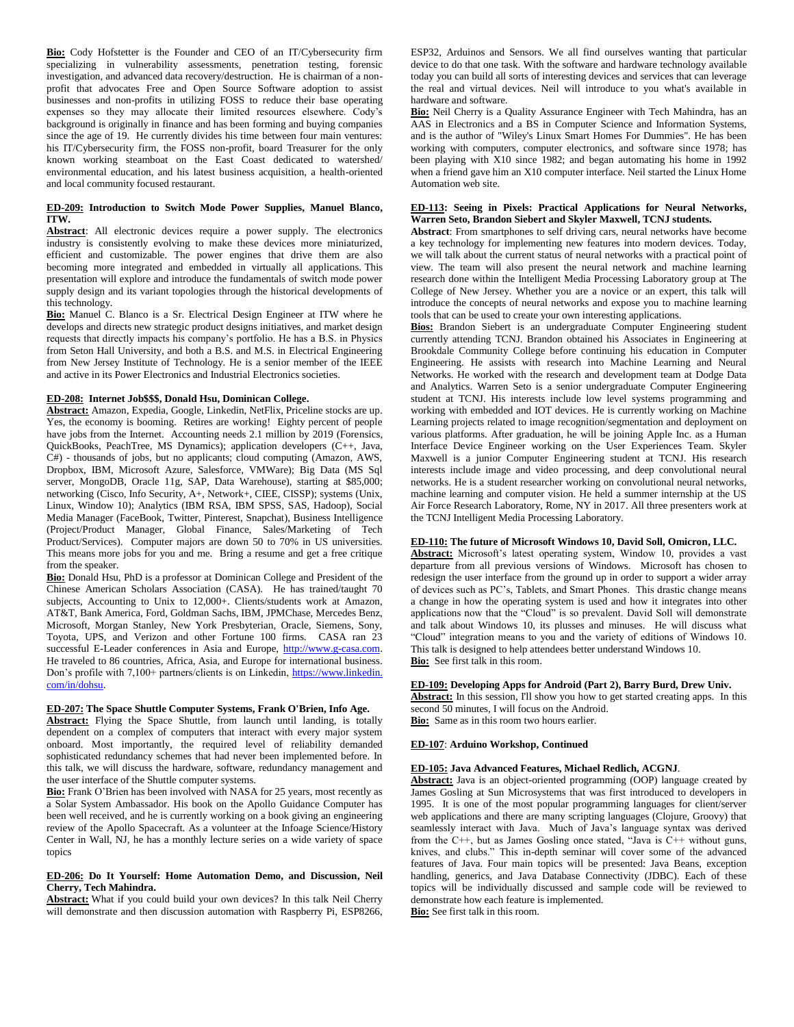**Bio:** Cody Hofstetter is the Founder and CEO of an IT/Cybersecurity firm specializing in vulnerability assessments, penetration testing, forensic investigation, and advanced data recovery/destruction. He is chairman of a nonprofit that advocates Free and Open Source Software adoption to assist businesses and non-profits in utilizing FOSS to reduce their base operating expenses so they may allocate their limited resources elsewhere. Cody's background is originally in finance and has been forming and buying companies since the age of 19. He currently divides his time between four main ventures: his IT/Cybersecurity firm, the FOSS non-profit, board Treasurer for the only known working steamboat on the East Coast dedicated to watershed/ environmental education, and his latest business acquisition, a health-oriented and local community focused restaurant.

### **ED-209: Introduction to Switch Mode Power Supplies, Manuel Blanco, ITW.**

**Abstract**: All electronic devices require a power supply. The electronics industry is consistently evolving to make these devices more miniaturized, efficient and customizable. The power engines that drive them are also becoming more integrated and embedded in virtually all applications. This presentation will explore and introduce the fundamentals of switch mode power supply design and its variant topologies through the historical developments of this technology.

**Bio:** Manuel C. Blanco is a Sr. Electrical Design Engineer at ITW where he develops and directs new strategic product designs initiatives, and market design requests that directly impacts his company's portfolio. He has a B.S. in Physics from Seton Hall University, and both a B.S. and M.S. in Electrical Engineering from New Jersey Institute of Technology. He is a senior member of the IEEE and active in its Power Electronics and Industrial Electronics societies.

# **ED-208: Internet Job\$\$\$, Donald Hsu, Dominican College.**

**Abstract:** Amazon, Expedia, Google, Linkedin, NetFlix, Priceline stocks are up. Yes, the economy is booming. Retires are working! Eighty percent of people have jobs from the Internet. Accounting needs 2.1 million by 2019 (Forensics, QuickBooks, PeachTree, MS Dynamics); application developers (C++, Java, C#) - thousands of jobs, but no applicants; cloud computing (Amazon, AWS, Dropbox, IBM, Microsoft Azure, Salesforce, VMWare); Big Data (MS Sql server, MongoDB, Oracle 11g, SAP, Data Warehouse), starting at \$85,000; networking (Cisco, Info Security, A+, Network+, CIEE, CISSP); systems (Unix, Linux, Window 10); Analytics (IBM RSA, IBM SPSS, SAS, Hadoop), Social Media Manager (FaceBook, Twitter, Pinterest, Snapchat), Business Intelligence (Project/Product Manager, Global Finance, Sales/Marketing of Tech Product/Services). Computer majors are down 50 to 70% in US universities. This means more jobs for you and me. Bring a resume and get a free critique from the speaker.

**Bio:** Donald Hsu, PhD is a professor at Dominican College and President of the Chinese American Scholars Association (CASA). He has trained/taught 70 subjects, Accounting to Unix to 12,000+. Clients/students work at Amazon, AT&T, Bank America, Ford, Goldman Sachs, IBM, JPMChase, Mercedes Benz, Microsoft, Morgan Stanley, New York Presbyterian, Oracle, Siemens, Sony, Toyota, UPS, and Verizon and other Fortune 100 firms. CASA ran 23 successful E-Leader conferences in Asia and Europe, [http://www.g-casa.com.](http://www.g-casa.com/) He traveled to 86 countries, Africa, Asia, and Europe for international business. Don's profile with 7,100+ partners/clients is on Linkedin, https://www.linkedin. com/in/dohsu.

#### **ED-207: The Space Shuttle Computer Systems, Frank O'Brien, Info Age.**

**Abstract:** Flying the Space Shuttle, from launch until landing, is totally dependent on a complex of computers that interact with every major system onboard. Most importantly, the required level of reliability demanded sophisticated redundancy schemes that had never been implemented before. In this talk, we will discuss the hardware, software, redundancy management and the user interface of the Shuttle computer systems.

**Bio:** Frank O'Brien has been involved with NASA for 25 years, most recently as a Solar System Ambassador. His book on the Apollo Guidance Computer has been well received, and he is currently working on a book giving an engineering review of the Apollo Spacecraft. As a volunteer at the Infoage Science/History Center in Wall, NJ, he has a monthly lecture series on a wide variety of space topics

#### **ED-206: Do It Yourself: Home Automation Demo, and Discussion, Neil Cherry, Tech Mahindra.**

Abstract: What if you could build your own devices? In this talk Neil Cherry will demonstrate and then discussion automation with Raspberry Pi, ESP8266, ESP32, Arduinos and Sensors. We all find ourselves wanting that particular device to do that one task. With the software and hardware technology available today you can build all sorts of interesting devices and services that can leverage the real and virtual devices. Neil will introduce to you what's available in hardware and software.

**Bio:** Neil Cherry is a Quality Assurance Engineer with Tech Mahindra, has an AAS in Electronics and a BS in Computer Science and Information Systems, and is the author of "Wiley's Linux Smart Homes For Dummies". He has been working with computers, computer electronics, and software since 1978; has been playing with X10 since 1982; and began automating his home in 1992 when a friend gave him an X10 computer interface. Neil started the Linux Home Automation web site.

#### **ED-113: Seeing in Pixels: Practical Applications for Neural Networks, Warren Seto, Brandon Siebert and Skyler Maxwell, TCNJ students.**

**Abstract**: From smartphones to self driving cars, neural networks have become a key technology for implementing new features into modern devices. Today, we will talk about the current status of neural networks with a practical point of view. The team will also present the neural network and machine learning research done within the Intelligent Media Processing Laboratory group at The College of New Jersey. Whether you are a novice or an expert, this talk will introduce the concepts of neural networks and expose you to machine learning tools that can be used to create your own interesting applications.

**Bios:** Brandon Siebert is an undergraduate Computer Engineering student currently attending TCNJ. Brandon obtained his Associates in Engineering at Brookdale Community College before continuing his education in Computer Engineering. He assists with research into Machine Learning and Neural Networks. He worked with the research and development team at Dodge Data and Analytics. Warren Seto is a senior undergraduate Computer Engineering student at TCNJ. His interests include low level systems programming and working with embedded and IOT devices. He is currently working on Machine Learning projects related to image recognition/segmentation and deployment on various platforms. After graduation, he will be joining Apple Inc. as a Human Interface Device Engineer working on the User Experiences Team. Skyler Maxwell is a junior Computer Engineering student at TCNJ. His research interests include image and video processing, and deep convolutional neural networks. He is a student researcher working on convolutional neural networks, machine learning and computer vision. He held a summer internship at the US Air Force Research Laboratory, Rome, NY in 2017. All three presenters work at the TCNJ Intelligent Media Processing Laboratory.

# **ED-110: The future of Microsoft Windows 10, David Soll, Omicron, LLC.**

Abstract: Microsoft's latest operating system, Window 10, provides a vast departure from all previous versions of Windows. Microsoft has chosen to redesign the user interface from the ground up in order to support a wider array of devices such as PC's, Tablets, and Smart Phones. This drastic change means a change in how the operating system is used and how it integrates into other applications now that the "Cloud" is so prevalent. David Soll will demonstrate and talk about Windows 10, its plusses and minuses. He will discuss what "Cloud" integration means to you and the variety of editions of Windows 10. This talk is designed to help attendees better understand Windows 10. **Bio:** See first talk in this room.

## **ED-109: Developing Apps for Android (Part 2), Barry Burd, Drew Univ.**

Abstract: In this session, I'll show you how to get started creating apps. In this second 50 minutes, I will focus on the Android.

**Bio:** Same as in this room two hours earlier.

# **ED-107**: **Arduino Workshop, Continued**

# **ED-105: Java Advanced Features, Michael Redlich, ACGNJ**.

**Abstract:** Java is an object-oriented programming (OOP) language created by James Gosling at Sun Microsystems that was first introduced to developers in 1995. It is one of the most popular programming languages for client/server web applications and there are many scripting languages (Clojure, Groovy) that seamlessly interact with Java. Much of Java's language syntax was derived from the C++, but as James Gosling once stated, "Java is C++ without guns, knives, and clubs." This in-depth seminar will cover some of the advanced features of Java. Four main topics will be presented: Java Beans, exception handling, generics, and Java Database Connectivity (JDBC). Each of these topics will be individually discussed and sample code will be reviewed to demonstrate how each feature is implemented. **Bio:** See first talk in this room.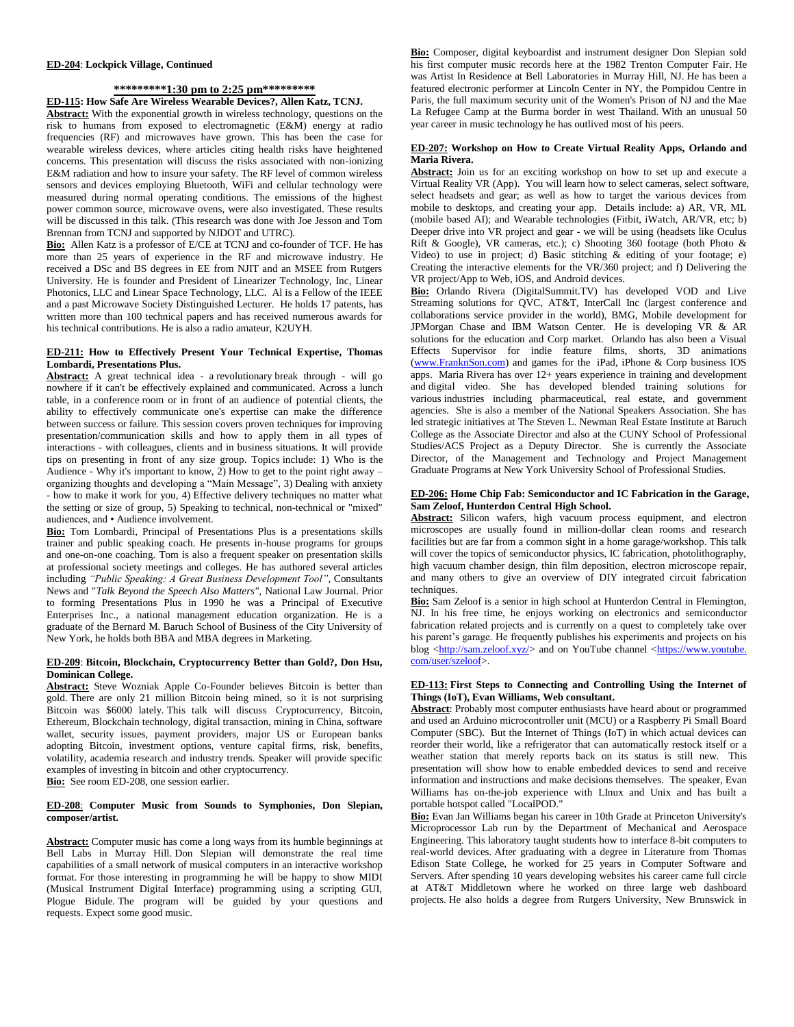#### **ED-204**: **Lockpick Village, Continued**

#### **\*\*\*\*\*\*\*\*\*1:30 pm to 2:25 pm\*\*\*\*\*\*\*\*\***

**ED-115: How Safe Are Wireless Wearable Devices?, Allen Katz, TCNJ.**

**Abstract:** With the exponential growth in wireless technology, questions on the risk to humans from exposed to electromagnetic (E&M) energy at radio frequencies (RF) and microwaves have grown. This has been the case for wearable wireless devices, where articles citing health risks have heightened concerns. This presentation will discuss the risks associated with non-ionizing E&M radiation and how to insure your safety. The RF level of common wireless sensors and devices employing Bluetooth, WiFi and cellular technology were measured during normal operating conditions. The emissions of the highest power common source, microwave ovens, were also investigated. These results will be discussed in this talk. (This research was done with Joe Jesson and Tom Brennan from TCNJ and supported by NJDOT and UTRC).

**Bio:** Allen Katz is a professor of E/CE at TCNJ and co-founder of TCF. He has more than 25 years of experience in the RF and microwave industry. He received a DSc and BS degrees in EE from NJIT and an MSEE from Rutgers University. He is founder and President of Linearizer Technology, Inc, Linear Photonics, LLC and Linear Space Technology, LLC. Al is a Fellow of the IEEE and a past Microwave Society Distinguished Lecturer. He holds 17 patents, has written more than 100 technical papers and has received numerous awards for his technical contributions. He is also a radio amateur, K2UYH.

#### **ED-211: How to Effectively Present Your Technical Expertise, Thomas Lombardi, Presentations Plus.**

**Abstract:** A great technical idea - a revolutionary break through - will go nowhere if it can't be effectively explained and communicated. Across a lunch table, in a conference room or in front of an audience of potential clients, the ability to effectively communicate one's expertise can make the difference between success or failure. This session covers proven techniques for improving presentation/communication skills and how to apply them in all types of interactions - with colleagues, clients and in business situations. It will provide tips on presenting in front of any size group. Topics include: 1) Who is the Audience - Why it's important to know, 2) How to get to the point right away – organizing thoughts and developing a "Main Message", 3) Dealing with anxiety - how to make it work for you, 4) Effective delivery techniques no matter what the setting or size of group, 5) Speaking to technical, non-technical or "mixed" audiences, and • Audience involvement.

**Bio:** Tom Lombardi, Principal of Presentations Plus is a presentations skills trainer and public speaking coach. He presents in-house programs for groups and one-on-one coaching. Tom is also a frequent speaker on presentation skills at professional society meetings and colleges. He has authored several articles including *"Public Speaking: A Great Business Development Tool"*, Consultants News and "*Talk Beyond the Speech Also Matters",* National Law Journal. Prior to forming Presentations Plus in 1990 he was a Principal of Executive Enterprises Inc., a national management education organization. He is a graduate of the Bernard M. Baruch School of Business of the City University of New York, he holds both BBA and MBA degrees in Marketing.

#### **ED-209**: **Bitcoin, Blockchain, Cryptocurrency Better than Gold?, Don Hsu, Dominican College.**

**Abstract:** Steve Wozniak Apple Co-Founder believes Bitcoin is better than gold. There are only 21 million Bitcoin being mined, so it is not surprising Bitcoin was \$6000 lately. This talk will discuss Cryptocurrency, Bitcoin, Ethereum, Blockchain technology, digital transaction, mining in China, software wallet, security issues, payment providers, major US or European banks adopting Bitcoin, investment options, venture capital firms, risk, benefits, volatility, academia research and industry trends. Speaker will provide specific examples of investing in bitcoin and other cryptocurrency. **Bio:** See room ED-208, one session earlier.

#### **ED-208**: **Computer Music from Sounds to Symphonies, Don Slepian, composer/artist.**

Abstract: Computer music has come a long ways from its humble beginnings at Bell Labs in Murray Hill. Don Slepian will demonstrate the real time capabilities of a small network of musical computers in an interactive workshop format. For those interesting in programming he will be happy to show MIDI (Musical Instrument Digital Interface) programming using a scripting GUI, Plogue Bidule. The program will be guided by your questions and requests. Expect some good music.

**Bio:** Composer, digital keyboardist and instrument designer Don Slepian sold his first computer music records here at the 1982 Trenton Computer Fair. He was Artist In Residence at Bell Laboratories in Murray Hill, NJ. He has been a featured electronic performer at Lincoln Center in NY, the Pompidou Centre in Paris, the full maximum security unit of the Women's Prison of NJ and the Mae La Refugee Camp at the Burma border in west Thailand. With an unusual 50 year career in music technology he has outlived most of his peers.

#### **ED-207: Workshop on How to Create Virtual Reality Apps, Orlando and Maria Rivera.**

Abstract: Join us for an exciting workshop on how to set up and execute a Virtual Reality VR (App). You will learn how to select cameras, select software, select headsets and gear; as well as how to target the various devices from mobile to desktops, and creating your app. Details include: a) AR, VR, ML (mobile based AI); and Wearable technologies (Fitbit, iWatch, AR/VR, etc; b) Deeper drive into VR project and gear - we will be using (headsets like Oculus Rift & Google), VR cameras, etc.); c) Shooting 360 footage (both Photo & Video) to use in project; d) Basic stitching  $\&$  editing of your footage; e) Creating the interactive elements for the VR/360 project; and f) Delivering the VR project/App to Web, iOS, and Android devices.

**Bio:** Orlando Rivera (DigitalSummit.TV) has developed VOD and Live Streaming solutions for QVC, AT&T, InterCall Inc (largest conference and collaborations service provider in the world), BMG, Mobile development for JPMorgan Chase and IBM Watson Center. He is developing VR & AR solutions for the education and Corp market. Orlando has also been a Visual Effects Supervisor for indie feature films, shorts, 3D animations [\(www.FranknSon.com\)](http://www.franknson.com/) and games for the iPad, iPhone & Corp business IOS apps. Maria Rivera has over 12+ years experience in training and development and digital video. She has developed blended training solutions for various industries including pharmaceutical, real estate, and government agencies. She is also a member of the National Speakers Association. She has led strategic initiatives at The Steven L. Newman Real Estate Institute at Baruch College as the Associate Director and also at the CUNY School of Professional Studies/ACS Project as a Deputy Director. She is currently the Associate Director, of the Management and Technology and Project Management Graduate Programs at New York University School of Professional Studies.

#### **ED-206: Home Chip Fab: Semiconductor and IC Fabrication in the Garage, Sam Zeloof, Hunterdon Central High School.**

Abstract: Silicon wafers, high vacuum process equipment, and electron microscopes are usually found in million-dollar clean rooms and research facilities but are far from a common sight in a home garage/workshop. This talk will cover the topics of semiconductor physics, IC fabrication, photolithography, high vacuum chamber design, thin film deposition, electron microscope repair, and many others to give an overview of DIY integrated circuit fabrication techniques.

**Bio:** Sam Zeloof is a senior in high school at Hunterdon Central in Flemington, NJ. In his free time, he enjoys working on electronics and semiconductor fabrication related projects and is currently on a quest to completely take over his parent's garage. He frequently publishes his experiments and projects on his blog [<http://sam.zeloof.xyz/>](http://sam.zeloof.xyz/) and on YouTube channel <https://www.youtube. com/user/szeloof>.

#### **ED-113: First Steps to Connecting and Controlling Using the Internet of Things (IoT), Evan Williams, Web consultant.**

**Abstract**: Probably most computer enthusiasts have heard about or programmed and used an Arduino microcontroller unit (MCU) or a Raspberry Pi Small Board Computer (SBC). But the Internet of Things (IoT) in which actual devices can reorder their world, like a refrigerator that can automatically restock itself or a weather station that merely reports back on its status is still new. This presentation will show how to enable embedded devices to send and receive information and instructions and make decisions themselves. The speaker, Evan Williams has on-the-job experience with LInux and Unix and has built a portable hotspot called "LocalPOD."

**Bio:** Evan Jan Williams began his career in 10th Grade at Princeton University's Microprocessor Lab run by the Department of Mechanical and Aerospace Engineering. This laboratory taught students how to interface 8-bit computers to real-world devices. After graduating with a degree in Literature from Thomas Edison State College, he worked for 25 years in Computer Software and Servers. After spending 10 years developing websites his career came full circle at AT&T Middletown where he worked on three large web dashboard projects. He also holds a degree from Rutgers University, New Brunswick in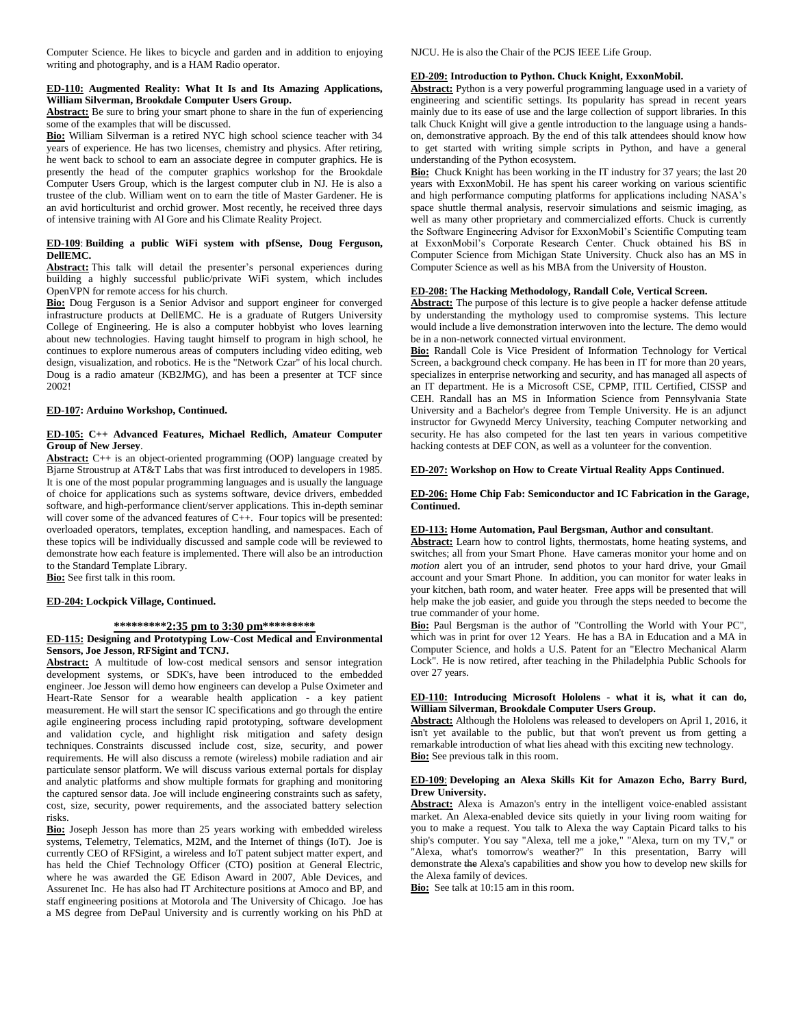Computer Science. He likes to bicycle and garden and in addition to enjoying writing and photography, and is a HAM Radio operator.

#### **ED-110: Augmented Reality: What It Is and Its Amazing Applications, William Silverman, Brookdale Computer Users Group.**

**Abstract:** Be sure to bring your smart phone to share in the fun of experiencing some of the examples that will be discussed.

**Bio:** William Silverman is a retired NYC high school science teacher with 34 years of experience. He has two licenses, chemistry and physics. After retiring, he went back to school to earn an associate degree in computer graphics. He is presently the head of the computer graphics workshop for the Brookdale Computer Users Group, which is the largest computer club in NJ. He is also a trustee of the club. William went on to earn the title of Master Gardener. He is an avid horticulturist and orchid grower. Most recently, he received three days of intensive training with Al Gore and his Climate Reality Project.

## **ED-109**: **Building a public WiFi system with pfSense, Doug Ferguson, DellEMC.**

**Abstract:** This talk will detail the presenter's personal experiences during building a highly successful public/private WiFi system, which includes OpenVPN for remote access for his church.

**Bio:** Doug Ferguson is a Senior Advisor and support engineer for converged infrastructure products at DellEMC. He is a graduate of Rutgers University College of Engineering. He is also a computer hobbyist who loves learning about new technologies. Having taught himself to program in high school, he continues to explore numerous areas of computers including video editing, web design, visualization, and robotics. He is the "Network Czar" of his local church. Doug is a radio amateur (KB2JMG), and has been a presenter at TCF since 2002!

#### **ED-107: Arduino Workshop, Continued.**

#### **ED-105: C++ Advanced Features, Michael Redlich, Amateur Computer Group of New Jersey**.

**Abstract:** C++ is an object-oriented programming (OOP) language created by Bjarne Stroustrup at AT&T Labs that was first introduced to developers in 1985. It is one of the most popular programming languages and is usually the language of choice for applications such as systems software, device drivers, embedded software, and high-performance client/server applications. This in-depth seminar will cover some of the advanced features of  $C_{++}$ . Four topics will be presented: overloaded operators, templates, exception handling, and namespaces. Each of these topics will be individually discussed and sample code will be reviewed to demonstrate how each feature is implemented. There will also be an introduction to the Standard Template Library.

# **Bio:** See first talk in this room.

#### **ED-204: Lockpick Village, Continued.**

#### **\*\*\*\*\*\*\*\*\*2:35 pm to 3:30 pm\*\*\*\*\*\*\*\*\***

## **ED-115: Designing and Prototyping Low-Cost Medical and Environmental Sensors, Joe Jesson, RFSigint and TCNJ.**

Abstract: A multitude of low-cost medical sensors and sensor integration development systems, or SDK's, have been introduced to the embedded engineer. Joe Jesson will demo how engineers can develop a Pulse Oximeter and Heart-Rate Sensor for a wearable health application - a key patient measurement. He will start the sensor IC specifications and go through the entire agile engineering process including rapid prototyping, software development and validation cycle, and highlight risk mitigation and safety design techniques. Constraints discussed include cost, size, security, and power requirements. He will also discuss a remote (wireless) mobile radiation and air particulate sensor platform. We will discuss various external portals for display and analytic platforms and show multiple formats for graphing and monitoring the captured sensor data. Joe will include engineering constraints such as safety, cost, size, security, power requirements, and the associated battery selection risks.

**Bio:** Joseph Jesson has more than 25 years working with embedded wireless systems, Telemetry, Telematics, M2M, and the Internet of things (IoT). Joe is currently CEO of RFSigint, a wireless and IoT patent subject matter expert, and has held the Chief Technology Officer (CTO) position at General Electric, where he was awarded the GE Edison Award in 2007, Able Devices, and Assurenet Inc. He has also had IT Architecture positions at Amoco and BP, and staff engineering positions at Motorola and The University of Chicago. Joe has a MS degree from DePaul University and is currently working on his PhD at

NJCU. He is also the Chair of the PCJS IEEE Life Group.

#### **ED-209: Introduction to Python. Chuck Knight, ExxonMobil.**

**Abstract:** Python is a very powerful programming language used in a variety of engineering and scientific settings. Its popularity has spread in recent years mainly due to its ease of use and the large collection of support libraries. In this talk Chuck Knight will give a gentle introduction to the language using a handson, demonstrative approach. By the end of this talk attendees should know how to get started with writing simple scripts in Python, and have a general understanding of the Python ecosystem.

**Bio:** Chuck Knight has been working in the IT industry for 37 years; the last 20 years with ExxonMobil. He has spent his career working on various scientific and high performance computing platforms for applications including NASA's space shuttle thermal analysis, reservoir simulations and seismic imaging, as well as many other proprietary and commercialized efforts. Chuck is currently the Software Engineering Advisor for ExxonMobil's Scientific Computing team at ExxonMobil's Corporate Research Center. Chuck obtained his BS in Computer Science from Michigan State University. Chuck also has an MS in Computer Science as well as his MBA from the University of Houston.

# **ED-208: The Hacking Methodology, Randall Cole, Vertical Screen.**

**Abstract:** The purpose of this lecture is to give people a hacker defense attitude by understanding the mythology used to compromise systems. This lecture would include a live demonstration interwoven into the lecture. The demo would be in a non-network connected virtual environment.

**Bio:** Randall Cole is Vice President of Information Technology for Vertical Screen, a background check company. He has been in IT for more than 20 years, specializes in enterprise networking and security, and has managed all aspects of an IT department. He is a Microsoft CSE, CPMP, ITIL Certified, CISSP and CEH. Randall has an MS in Information Science from Pennsylvania State University and a Bachelor's degree from Temple University. He is an adjunct instructor for Gwynedd Mercy University, teaching Computer networking and security. He has also competed for the last ten years in various competitive hacking contests at DEF CON, as well as a volunteer for the convention.

#### **ED-207: Workshop on How to Create Virtual Reality Apps Continued.**

#### **ED-206: Home Chip Fab: Semiconductor and IC Fabrication in the Garage, Continued.**

#### **ED-113: Home Automation, Paul Bergsman, Author and consultant**.

**Abstract:** Learn how to control lights, thermostats, home heating systems, and switches; all from your Smart Phone. Have cameras monitor your home and on *motion* alert you of an intruder, send photos to your hard drive, your Gmail account and your Smart Phone. In addition, you can monitor for water leaks in your kitchen, bath room, and water heater. Free apps will be presented that will help make the job easier, and guide you through the steps needed to become the true commander of your home.

**Bio:** Paul Bergsman is the author of "Controlling the World with Your PC", which was in print for over 12 Years. He has a BA in Education and a MA in Computer Science, and holds a U.S. Patent for an "Electro Mechanical Alarm Lock". He is now retired, after teaching in the Philadelphia Public Schools for over 27 years.

#### **ED-110: Introducing Microsoft Hololens - what it is, what it can do, William Silverman, Brookdale Computer Users Group.**

**Abstract:** Although the Hololens was released to developers on April 1, 2016, it isn't yet available to the public, but that won't prevent us from getting a remarkable introduction of what lies ahead with this exciting new technology. **Bio:** See previous talk in this room.

#### **ED-109**: **Developing an Alexa Skills Kit for Amazon Echo, Barry Burd, Drew University.**

**Abstract:** Alexa is Amazon's entry in the intelligent voice-enabled assistant market. An Alexa-enabled device sits quietly in your living room waiting for you to make a request. You talk to Alexa the way Captain Picard talks to his ship's computer. You say "Alexa, tell me a joke," "Alexa, turn on my TV," or "Alexa, what's tomorrow's weather?" In this presentation, Barry will demonstrate the Alexa's capabilities and show you how to develop new skills for the Alexa family of devices.

**Bio:** See talk at 10:15 am in this room.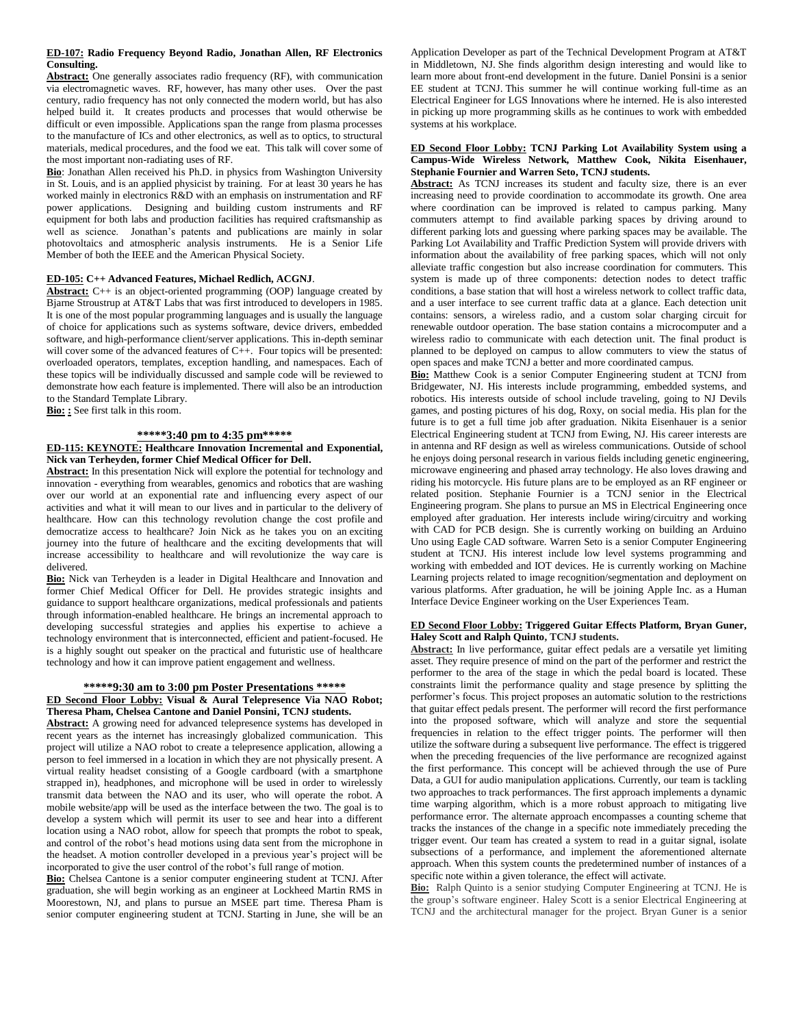#### **ED-107: Radio Frequency Beyond Radio, Jonathan Allen, RF Electronics Consulting.**

Abstract: One generally associates radio frequency (RF), with communication via electromagnetic waves. RF, however, has many other uses. Over the past century, radio frequency has not only connected the modern world, but has also helped build it. It creates products and processes that would otherwise be difficult or even impossible. Applications span the range from plasma processes to the manufacture of ICs and other electronics, as well as to optics, to structural materials, medical procedures, and the food we eat. This talk will cover some of the most important non-radiating uses of RF.

**Bio**: Jonathan Allen received his Ph.D. in physics from Washington University in St. Louis, and is an applied physicist by training. For at least 30 years he has worked mainly in electronics R&D with an emphasis on instrumentation and RF power applications. Designing and building custom instruments and RF equipment for both labs and production facilities has required craftsmanship as well as science. Jonathan's patents and publications are mainly in solar photovoltaics and atmospheric analysis instruments. He is a Senior Life Member of both the IEEE and the American Physical Society.

#### **ED-105: C++ Advanced Features, Michael Redlich, ACGNJ**.

Abstract: C<sub>++</sub> is an object-oriented programming (OOP) language created by Bjarne Stroustrup at AT&T Labs that was first introduced to developers in 1985. It is one of the most popular programming languages and is usually the language of choice for applications such as systems software, device drivers, embedded software, and high-performance client/server applications. This in-depth seminar will cover some of the advanced features of C++. Four topics will be presented: overloaded operators, templates, exception handling, and namespaces. Each of these topics will be individually discussed and sample code will be reviewed to demonstrate how each feature is implemented. There will also be an introduction to the Standard Template Library.

**Bio: :** See first talk in this room.

# **\*\*\*\*\*3:40 pm to 4:35 pm\*\*\*\*\***

#### **ED-115: KEYNOTE: Healthcare Innovation Incremental and Exponential, Nick van Terheyden, former Chief Medical Officer for Dell.**

**Abstract:** In this presentation Nick will explore the potential for technology and innovation - everything from wearables, genomics and robotics that are washing over our world at an exponential rate and influencing every aspect of our activities and what it will mean to our lives and in particular to the delivery of healthcare. How can this technology revolution change the cost profile and democratize access to healthcare? Join Nick as he takes you on an exciting journey into the future of healthcare and the exciting developments that will increase accessibility to healthcare and will revolutionize the way care is delivered.

**Bio:** Nick van Terheyden is a leader in Digital Healthcare and Innovation and former Chief Medical Officer for Dell. He provides strategic insights and guidance to support healthcare organizations, medical professionals and patients through information-enabled healthcare. He brings an incremental approach to developing successful strategies and applies his expertise to achieve a technology environment that is interconnected, efficient and patient-focused. He is a highly sought out speaker on the practical and futuristic use of healthcare technology and how it can improve patient engagement and wellness.

#### **\*\*\*\*\*9:30 am to 3:00 pm Poster Presentations \*\*\*\*\* ED Second Floor Lobby: Visual & Aural Telepresence Via NAO Robot; Theresa Pham, Chelsea Cantone and Daniel Ponsini, TCNJ students.**

**Abstract:** A growing need for advanced telepresence systems has developed in recent years as the internet has increasingly globalized communication. This project will utilize a NAO robot to create a telepresence application, allowing a person to feel immersed in a location in which they are not physically present. A virtual reality headset consisting of a Google cardboard (with a smartphone strapped in), headphones, and microphone will be used in order to wirelessly transmit data between the NAO and its user, who will operate the robot. A mobile website/app will be used as the interface between the two. The goal is to develop a system which will permit its user to see and hear into a different location using a NAO robot, allow for speech that prompts the robot to speak, and control of the robot's head motions using data sent from the microphone in the headset. A motion controller developed in a previous year's project will be incorporated to give the user control of the robot's full range of motion.

**Bio:** Chelsea Cantone is a senior computer engineering student at TCNJ. After graduation, she will begin working as an engineer at Lockheed Martin RMS in Moorestown, NJ, and plans to pursue an MSEE part time. Theresa Pham is senior computer engineering student at TCNJ. Starting in June, she will be an

Application Developer as part of the Technical Development Program at AT&T in Middletown, NJ. She finds algorithm design interesting and would like to learn more about front-end development in the future. Daniel Ponsini is a senior EE student at TCNJ. This summer he will continue working full-time as an Electrical Engineer for LGS Innovations where he interned. He is also interested in picking up more programming skills as he continues to work with embedded systems at his workplace.

#### **ED Second Floor Lobby: TCNJ Parking Lot Availability System using a Campus-Wide Wireless Network, Matthew Cook, Nikita Eisenhauer, Stephanie Fournier and Warren Seto, TCNJ students.**

Abstract: As TCNJ increases its student and faculty size, there is an ever increasing need to provide coordination to accommodate its growth. One area where coordination can be improved is related to campus parking. Many commuters attempt to find available parking spaces by driving around to different parking lots and guessing where parking spaces may be available. The Parking Lot Availability and Traffic Prediction System will provide drivers with information about the availability of free parking spaces, which will not only alleviate traffic congestion but also increase coordination for commuters. This system is made up of three components: detection nodes to detect traffic conditions, a base station that will host a wireless network to collect traffic data, and a user interface to see current traffic data at a glance. Each detection unit contains: sensors, a wireless radio, and a custom solar charging circuit for renewable outdoor operation. The base station contains a microcomputer and a wireless radio to communicate with each detection unit. The final product is planned to be deployed on campus to allow commuters to view the status of open spaces and make TCNJ a better and more coordinated campus.

**Bio:** Matthew Cook is a senior Computer Engineering student at TCNJ from Bridgewater, NJ. His interests include programming, embedded systems, and robotics. His interests outside of school include traveling, going to NJ Devils games, and posting pictures of his dog, Roxy, on social media. His plan for the future is to get a full time job after graduation. Nikita Eisenhauer is a senior Electrical Engineering student at TCNJ from Ewing, NJ. His career interests are in antenna and RF design as well as wireless communications. Outside of school he enjoys doing personal research in various fields including genetic engineering, microwave engineering and phased array technology. He also loves drawing and riding his motorcycle. His future plans are to be employed as an RF engineer or related position. Stephanie Fournier is a TCNJ senior in the Electrical Engineering program. She plans to pursue an MS in Electrical Engineering once employed after graduation. Her interests include wiring/circuitry and working with CAD for PCB design. She is currently working on building an Arduino Uno using Eagle CAD software. Warren Seto is a senior Computer Engineering student at TCNJ. His interest include low level systems programming and working with embedded and IOT devices. He is currently working on Machine Learning projects related to image recognition/segmentation and deployment on various platforms. After graduation, he will be joining Apple Inc. as a Human Interface Device Engineer working on the User Experiences Team.

#### **ED Second Floor Lobby: Triggered Guitar Effects Platform, Bryan Guner, Haley Scott and Ralph Quinto, TCNJ students.**

**Abstract:** In live performance, guitar effect pedals are a versatile yet limiting asset. They require presence of mind on the part of the performer and restrict the performer to the area of the stage in which the pedal board is located. These constraints limit the performance quality and stage presence by splitting the performer's focus. This project proposes an automatic solution to the restrictions that guitar effect pedals present. The performer will record the first performance into the proposed software, which will analyze and store the sequential frequencies in relation to the effect trigger points. The performer will then utilize the software during a subsequent live performance. The effect is triggered when the preceding frequencies of the live performance are recognized against the first performance. This concept will be achieved through the use of Pure Data, a GUI for audio manipulation applications. Currently, our team is tackling two approaches to track performances. The first approach implements a dynamic time warping algorithm, which is a more robust approach to mitigating live performance error. The alternate approach encompasses a counting scheme that tracks the instances of the change in a specific note immediately preceding the trigger event. Our team has created a system to read in a guitar signal, isolate subsections of a performance, and implement the aforementioned alternate approach. When this system counts the predetermined number of instances of a specific note within a given tolerance, the effect will activate.

**Bio:** Ralph Quinto is a senior studying Computer Engineering at TCNJ. He is the group's software engineer. Haley Scott is a senior Electrical Engineering at TCNJ and the architectural manager for the project. Bryan Guner is a senior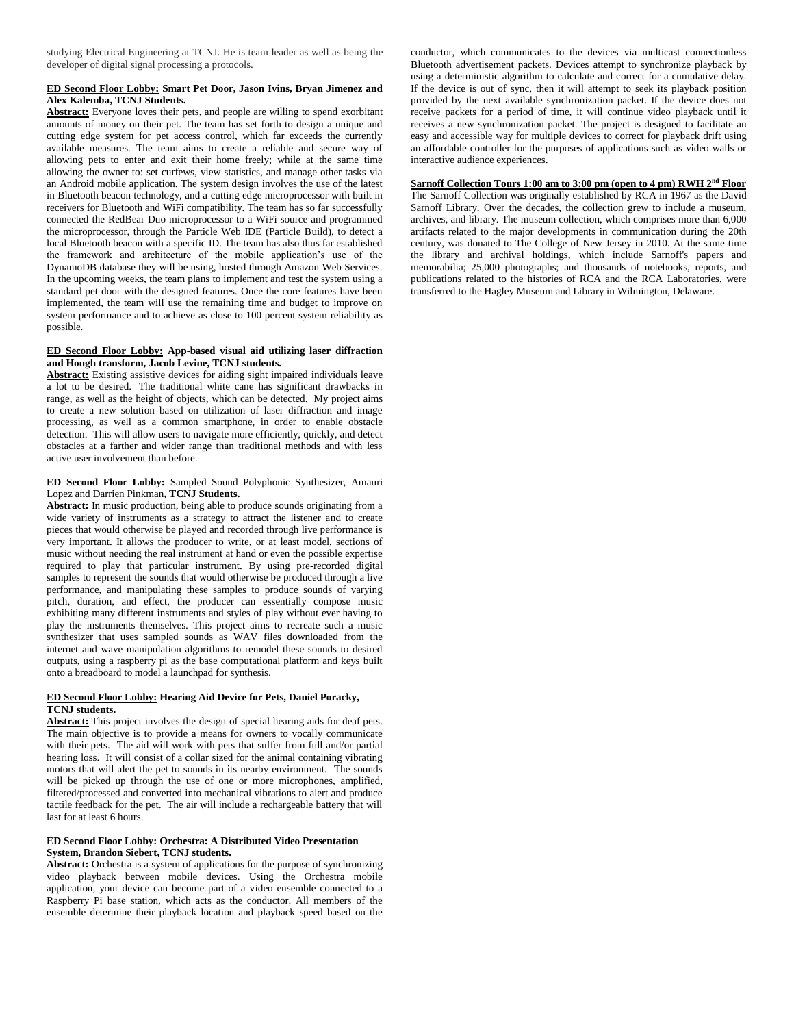studying Electrical Engineering at TCNJ. He is team leader as well as being the developer of digital signal processing a protocols.

#### **ED Second Floor Lobby: Smart Pet Door, Jason Ivins, Bryan Jimenez and Alex Kalemba, TCNJ Students.**

**Abstract:** Everyone loves their pets, and people are willing to spend exorbitant amounts of money on their pet. The team has set forth to design a unique and cutting edge system for pet access control, which far exceeds the currently available measures. The team aims to create a reliable and secure way of allowing pets to enter and exit their home freely; while at the same time allowing the owner to: set curfews, view statistics, and manage other tasks via an Android mobile application. The system design involves the use of the latest in Bluetooth beacon technology, and a cutting edge microprocessor with built in receivers for Bluetooth and WiFi compatibility. The team has so far successfully connected the RedBear Duo microprocessor to a WiFi source and programmed the microprocessor, through the Particle Web IDE (Particle Build), to detect a local Bluetooth beacon with a specific ID. The team has also thus far established the framework and architecture of the mobile application's use of the DynamoDB database they will be using, hosted through Amazon Web Services. In the upcoming weeks, the team plans to implement and test the system using a standard pet door with the designed features. Once the core features have been implemented, the team will use the remaining time and budget to improve on system performance and to achieve as close to 100 percent system reliability as possible.

#### **ED Second Floor Lobby: App-based visual aid utilizing laser diffraction and Hough transform, Jacob Levine, TCNJ students.**

**Abstract:** Existing assistive devices for aiding sight impaired individuals leave a lot to be desired. The traditional white cane has significant drawbacks in range, as well as the height of objects, which can be detected. My project aims to create a new solution based on utilization of laser diffraction and image processing, as well as a common smartphone, in order to enable obstacle detection. This will allow users to navigate more efficiently, quickly, and detect obstacles at a farther and wider range than traditional methods and with less active user involvement than before.

#### **ED Second Floor Lobby:** Sampled Sound Polyphonic Synthesizer, Amauri Lopez and Darrien Pinkman**, TCNJ Students.**

Abstract: In music production, being able to produce sounds originating from a wide variety of instruments as a strategy to attract the listener and to create pieces that would otherwise be played and recorded through live performance is very important. It allows the producer to write, or at least model, sections of music without needing the real instrument at hand or even the possible expertise required to play that particular instrument. By using pre-recorded digital samples to represent the sounds that would otherwise be produced through a live performance, and manipulating these samples to produce sounds of varying pitch, duration, and effect, the producer can essentially compose music exhibiting many different instruments and styles of play without ever having to play the instruments themselves. This project aims to recreate such a music synthesizer that uses sampled sounds as WAV files downloaded from the internet and wave manipulation algorithms to remodel these sounds to desired outputs, using a raspberry pi as the base computational platform and keys built onto a breadboard to model a launchpad for synthesis.

#### **ED Second Floor Lobby: Hearing Aid Device for Pets, Daniel Poracky, TCNJ students.**

**Abstract:** This project involves the design of special hearing aids for deaf pets. The main objective is to provide a means for owners to vocally communicate with their pets. The aid will work with pets that suffer from full and/or partial hearing loss. It will consist of a collar sized for the animal containing vibrating motors that will alert the pet to sounds in its nearby environment. The sounds will be picked up through the use of one or more microphones, amplified, filtered/processed and converted into mechanical vibrations to alert and produce tactile feedback for the pet. The air will include a rechargeable battery that will last for at least 6 hours.

# **ED Second Floor Lobby: Orchestra: A Distributed Video Presentation System, Brandon Siebert, TCNJ students.**

**Abstract:** Orchestra is a system of applications for the purpose of synchronizing video playback between mobile devices. Using the Orchestra mobile application, your device can become part of a video ensemble connected to a Raspberry Pi base station, which acts as the conductor. All members of the ensemble determine their playback location and playback speed based on the conductor, which communicates to the devices via multicast connectionless Bluetooth advertisement packets. Devices attempt to synchronize playback by using a deterministic algorithm to calculate and correct for a cumulative delay. If the device is out of sync, then it will attempt to seek its playback position provided by the next available synchronization packet. If the device does not receive packets for a period of time, it will continue video playback until it receives a new synchronization packet. The project is designed to facilitate an easy and accessible way for multiple devices to correct for playback drift using an affordable controller for the purposes of applications such as video walls or interactive audience experiences.

# **Sarnoff Collection Tours 1:00 am to 3:00 pm (open to 4 pm) RWH 2nd Floor**

The Sarnoff Collection was originally established by RCA in 1967 as the David Sarnoff Library. Over the decades, the collection grew to include a museum, archives, and library. The museum collection, which comprises more than 6,000 artifacts related to the major developments in communication during the 20th century, was donated to The College of New Jersey in 2010. At the same time the library and archival holdings, which include Sarnoff's papers and memorabilia; 25,000 photographs; and thousands of notebooks, reports, and publications related to the histories of RCA and the RCA Laboratories, were transferred to the Hagley Museum and Library in Wilmington, Delaware.